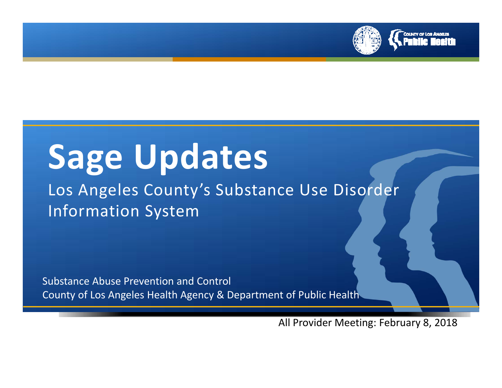

# **Sage Updates**

## Los Angeles County's Substance Use Disorder Information System

Substance Abuse Prevention and Control County of Los Angeles Health Agency & Department of Public Health

All Provider Meeting: February 8, 2018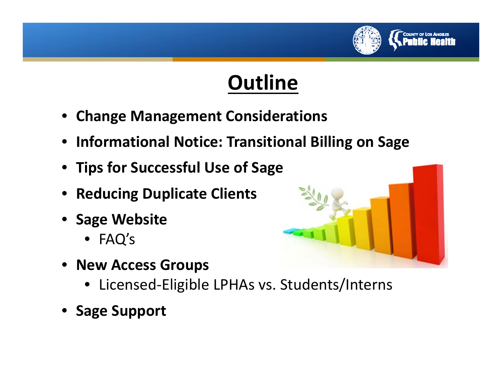

## **Outline**

- **Change Management Considerations**
- **Informational Notice: Transitional Billing on Sage**
- **Tips for Successful Use of Sage**
- **Reducing Duplicate Clients**
- **Sage Website**
	- FAQ's
- **New Access Groups**



- Licensed‐Eligible LPHAs vs. Students/Interns
- **Sage Support**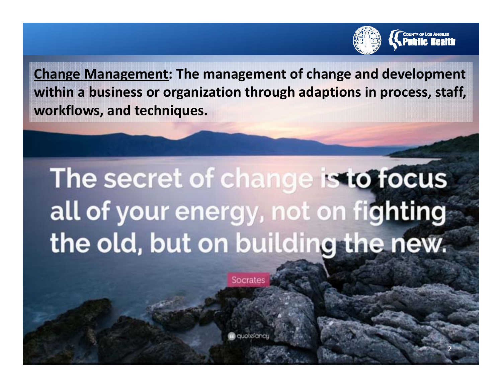

2

**Change Management: The management of change and development within <sup>a</sup> business or organization through adaptions in process, staff, workflows, and techniques.**

# The secret of change is to focus all of your energy, not on fighting the old, but on building the new.

Socrates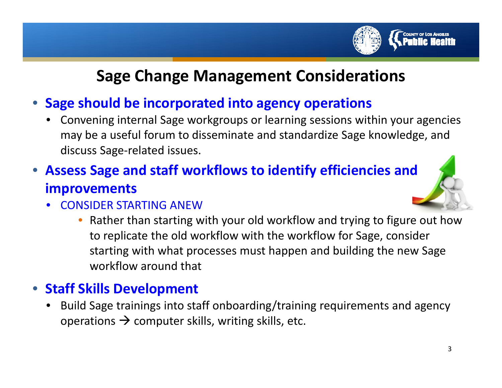#### **Sage Change Management Considerations**

#### • **Sage should be incorporated into agency operations**

• Convening internal Sage workgroups or learning sessions within your agencies may be <sup>a</sup> useful forum to disseminate and standardize Sage knowledge, and discuss Sage‐related issues.

#### • **Assess Sage and staff workflows to identify efficiencies and improvements**

- CONSIDER STARTING ANEW
	- • Rather than starting with your old workflow and trying to figure out how to replicate the old workflow with the workflow for Sage, consider starting with what processes must happen and building the new Sage workflow around that

#### • **Staff Skills Development**

• Build Sage trainings into staff onboarding/training requirements and agency operations  $\rightarrow$  computer skills, writing skills, etc.

**COUNTY OF LOS ANGELES**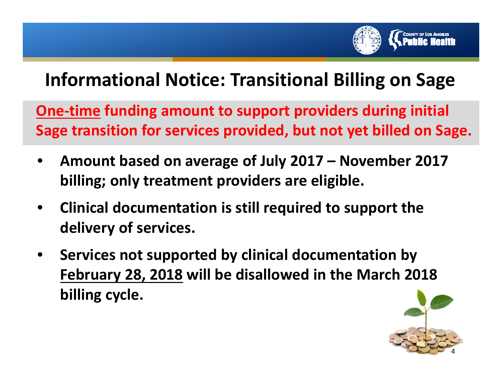

## **Informational Notice: Transitional Billing on Sage**

**One‐time funding amount to support providers during initial Sage transition for services provided, but not yet billed on Sage.**

- • **Amount based on average of July 2017 – November 2017 billing; only treatment providers are eligible.**
- $\bullet$  **Clinical documentation is still required to support the delivery of services.**
- • **Services not supported by clinical documentation by February 28, 2018 will be disallowed in the March 2018 billing cycle.**

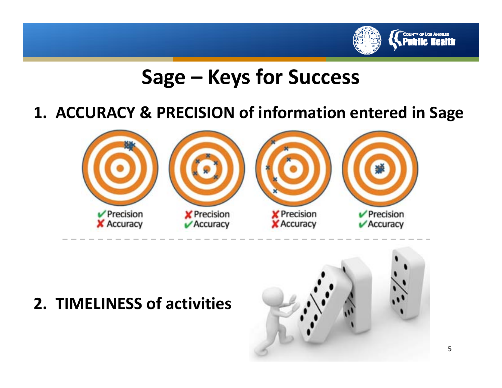

## **Sage – Keys for Success**

### **1. ACCURACY & PRECISION of information entered in Sage**



### **2. TIMELINESS of activities**

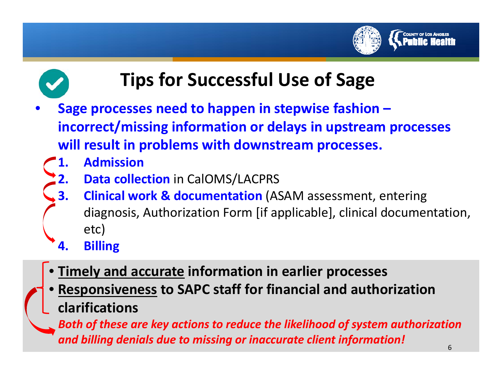



## **Tips for Successful Use of Sage**

- • **Sage processes need to happen in stepwise fashion – incorrect/missing information or delays in upstream processes will result in problems with downstream processes.**
	- **1. Admission**
	- **2. Data collection** in CalOMS/LACPRS
	- **3. Clinical work & documentation** (ASAM assessment, entering diagnosis, Authorization Form [if applicable], clinical documentation, etc)
	- **4. Billing**
	- •**Timely and accurate information in earlier processes**
	- • **Responsiveness to SAPC staff for financial and authorization clarifications**

*Both of these are key actions to reduce the likelihood of system authorization and billing denials due to missing or inaccurate client information!*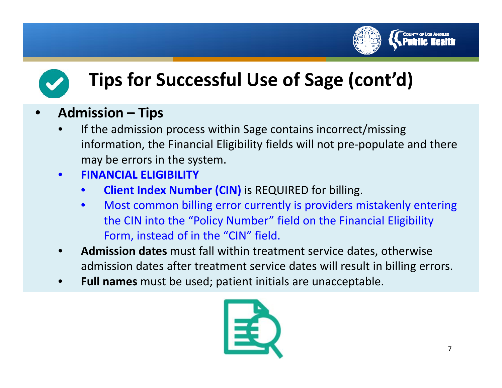



#### •**Admission – Tips**

- •• If the admission process within Sage contains incorrect/missing information, the Financial Eligibility fields will not pre‐populate and there may be errors in the system.
- • **FINANCIAL ELIGIBILITY**
	- •**Client Index Number (CIN)** is REQUIRED for billing.
	- $\bullet$  Most common billing error currently is providers mistakenly entering the CIN into the "Policy Number" field on the Financial Eligibility Form, instead of in the "CIN" field.
- • **Admission dates** must fall within treatment service dates, otherwise admission dates after treatment service dates will result in billing errors.
- •**Full names** must be used; patient initials are unacceptable.

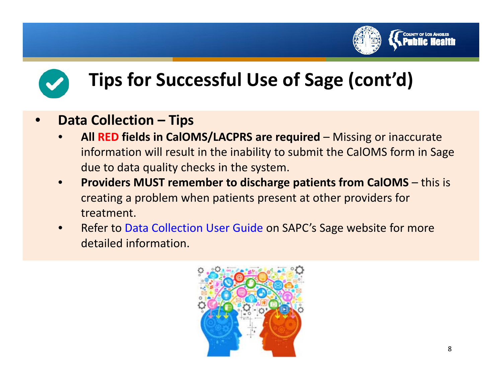



#### •**Data Collection – Tips**

- • **All RED fields in CalOMS/LACPRS are required** – Missing or inaccurate information will result in the inability to submit the CalOMS form in Sage due to data quality checks in the system.
- • **Providers MUST remember to discharge patients from CalOMS** – this is creating <sup>a</sup> problem when patients present at other providers for treatment.
- • Refer to Data Collection User Guide on SAPC's Sage website for more detailed information.

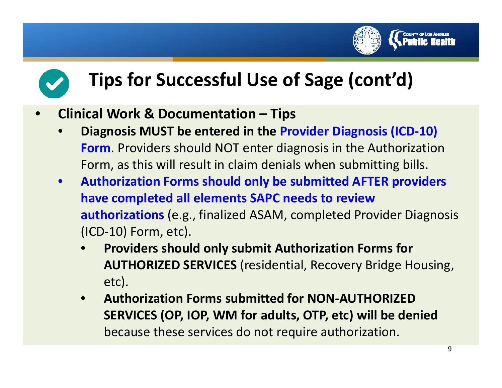



- • **Clinical Work & Documentation – Tips**
	- • **Diagnosis MUST be entered in the Provider Diagnosis (ICD‐10) Form**. Providers should NOT enter diagnosis in the Authorization Form, as this will result in claim denials when submitting bills.
	- $\bullet$  **Authorization Forms should only be submitted AFTER providers have completed all elements SAPC needs to review authorizations** (e.g., finalized ASAM, completed Provider Diagnosis (ICD‐10) Form, etc).
		- • **Providers should only submit Authorization Forms for AUTHORIZED SERVICES** (residential, Recovery Bridge Housing, etc).
		- $\bullet$  **Authorization Forms submitted for NON‐AUTHORIZEDSERVICES (OP, IOP, WM for adults, OTP, etc) will be denied** because these services do not require authorization.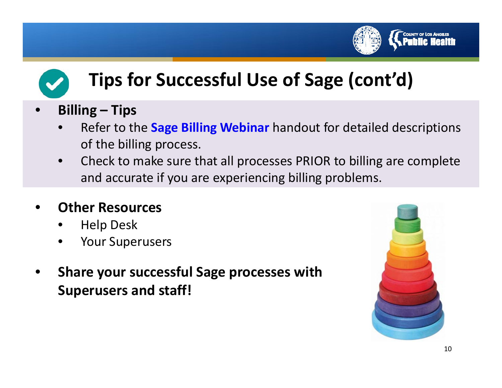



#### •**Billing – Tips**

- • Refer to the **Sage Billing Webinar** handout for detailed descriptions of the billing process.
- • Check to make sure that all processes PRIOR to billing are complete and accurate if you are experiencing billing problems.

#### •**Other Resources**

- •Help Desk
- •Your Superusers
- • **Share your successful Sage processes with Superusers and staff!**

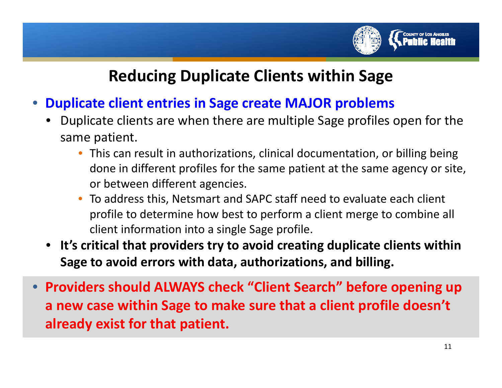

### **Reducing Duplicate Clients within Sage**

- • **Duplicate client entries in Sage create MAJOR problems**
	- Duplicate clients are when there are multiple Sage profiles open for the same patient.
		- This can result in authorizations, clinical documentation, or billing being done in different profiles for the same patient at the same agency or site, or between different agencies.
		- • To address this, Netsmart and SAPC staff need to evaluate each client profile to determine how best to perform <sup>a</sup> client merge to combine all client information into <sup>a</sup> single Sage profile.
	- **It's critical that providers try to avoid creating duplicate clients within Sage to avoid errors with data, authorizations, and billing.**
- **Providers should ALWAYS check "Client Search" before opening up a new case within Sage to make sure that <sup>a</sup> client profile doesn't already exist for that patient.**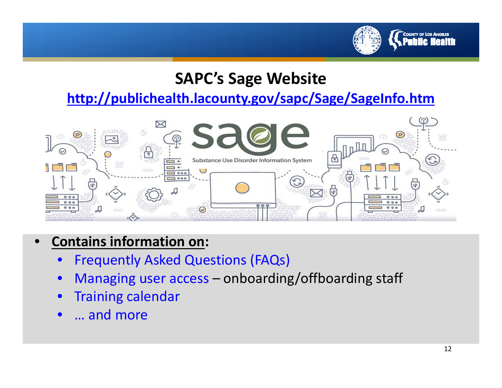

#### **SAPC's Sage Website**

**http://publichealth.lacounty.gov/sapc/Sage/SageInfo.htm**



#### •**Contains information on:**

- $\bullet$ Frequently Asked Questions (FAQs)
- $\bullet$ Managing user access – onboarding/offboarding staff
- $\bullet$ Training calendar
- $\bullet$ ● … and more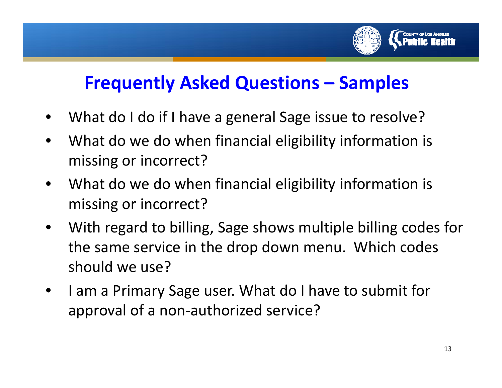

## **Frequently Asked Questions – Samples**

- •What do I do if I have <sup>a</sup> general Sage issue to resolve?
- $\bullet$  What do we do when financial eligibility information is missing or incorrect?
- • What do we do when financial eligibility information is missing or incorrect?
- $\bullet$  With regard to billing, Sage shows multiple billing codes for the same service in the drop down menu. Which codes should we use?
- $\bullet$ • I am a Primary Sage user. What do I have to submit for approval of <sup>a</sup> non‐authorized service?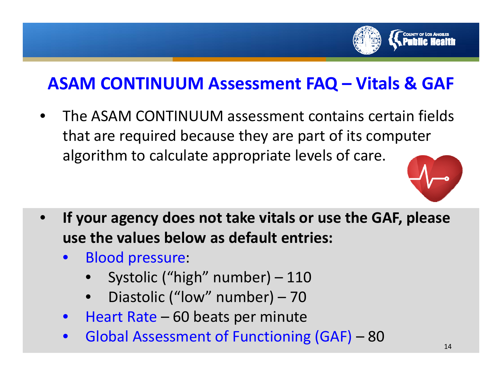

## **ASAM CONTINUUM Assessment FAQ – Vitals & GAF**

• The ASAM CONTINUUM assessment contains certain fields that are required because they are part of its computer algorithm to calculate appropriate levels of care.



- • **If your agency does not take vitals or use the GAF, please use the values below as default entries:**
	- $\bullet$  Blood pressure:
		- •Systolic ("high" number) – 110
		- •Diastolic ("low" number) – 70
	- $\bullet$ • Heart Rate – 60 beats per minute
	- $\bullet$ Global Assessment of Functioning (GAF) – 80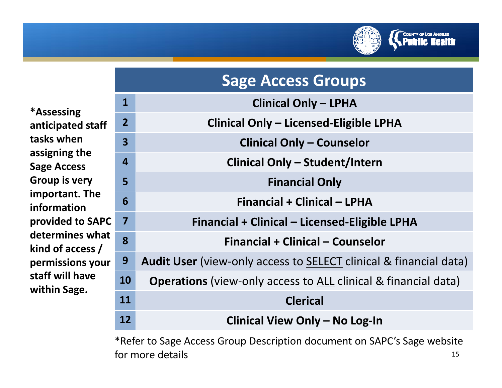

|                                         | <b>Sage Access Groups</b> |                                                                          |  |
|-----------------------------------------|---------------------------|--------------------------------------------------------------------------|--|
|                                         | $\mathbf{1}$              | <b>Clinical Only - LPHA</b>                                              |  |
| taff                                    | $\overline{2}$            | <b>Clinical Only - Licensed-Eligible LPHA</b>                            |  |
|                                         | $\overline{\mathbf{3}}$   | <b>Clinical Only - Counselor</b>                                         |  |
|                                         | $\overline{4}$            | <b>Clinical Only - Student/Intern</b>                                    |  |
| he                                      | 5                         | <b>Financial Only</b>                                                    |  |
|                                         | 6                         | <b>Financial + Clinical - LPHA</b>                                       |  |
| SAPC<br>vhat<br>s $\prime$<br>your<br>e | 7                         | Financial + Clinical – Licensed-Eligible LPHA                            |  |
|                                         | 8                         | <b>Financial + Clinical - Counselor</b>                                  |  |
|                                         | 9                         | <b>Audit User</b> (view-only access to SELECT clinical & financial data) |  |
|                                         | <b>10</b>                 | <b>Operations</b> (view-only access to ALL clinical & financial data)    |  |
|                                         | 11                        | <b>Clerical</b>                                                          |  |
|                                         | 12                        | Clinical View Only - No Log-In                                           |  |

\*Refer to Sage Access Group Description document on SAPC's Sage website for moree details and the set of the set of the set of the set of the set of the set of the set of the set of the set o

**\*Assessing anticipated** st **tasks whenassigning the Sage Access Group is very important. The informationprovided** to S **determines what kind of access / permissions staff will havewithin Sage.**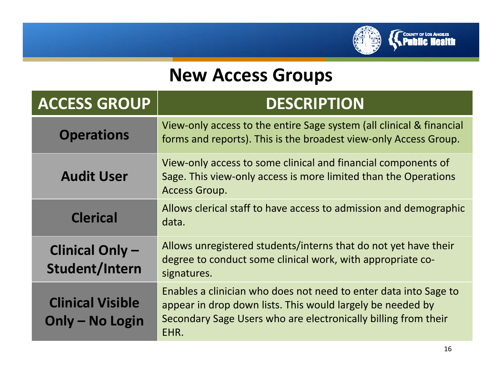

## **New Access Groups**

| <b>ACCESS GROUP</b>                        | <b>DESCRIPTION</b>                                                                                                                                                                                       |
|--------------------------------------------|----------------------------------------------------------------------------------------------------------------------------------------------------------------------------------------------------------|
| <b>Operations</b>                          | View-only access to the entire Sage system (all clinical & financial<br>forms and reports). This is the broadest view-only Access Group.                                                                 |
| <b>Audit User</b>                          | View-only access to some clinical and financial components of<br>Sage. This view-only access is more limited than the Operations<br><b>Access Group.</b>                                                 |
| <b>Clerical</b>                            | Allows clerical staff to have access to admission and demographic<br>data.                                                                                                                               |
| <b>Clinical Only-</b><br>Student/Intern    | Allows unregistered students/interns that do not yet have their<br>degree to conduct some clinical work, with appropriate co-<br>signatures.                                                             |
| <b>Clinical Visible</b><br>Only - No Login | Enables a clinician who does not need to enter data into Sage to<br>appear in drop down lists. This would largely be needed by<br>Secondary Sage Users who are electronically billing from their<br>EHR. |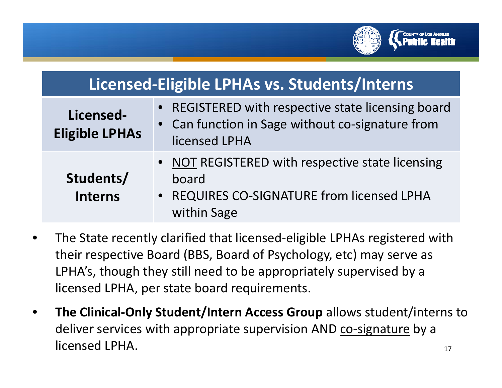

| Licensed-Eligible LPHAs vs. Students/Interns |                                                                                                                         |  |  |  |
|----------------------------------------------|-------------------------------------------------------------------------------------------------------------------------|--|--|--|
| Licensed-<br><b>Eligible LPHAs</b>           | • REGISTERED with respective state licensing board<br>• Can function in Sage without co-signature from<br>licensed LPHA |  |  |  |
| Students/<br><b>Interns</b>                  | • NOT REGISTERED with respective state licensing<br>board<br>• REQUIRES CO-SIGNATURE from licensed LPHA<br>within Sage  |  |  |  |

- • The State recently clarified that licensed‐eligible LPHAs registered with their respective Board (BBS, Board of Psychology, etc) may serve as LPHA's, though they still need to be appropriately supervised by <sup>a</sup> licensed LPHA, per state board requirements.
- 17• **The Clinical‐Only Student/Intern Access Group** allows student/interns to deliver services with appropriate supervision AND <u>co-signature</u> by a licensed LPHA.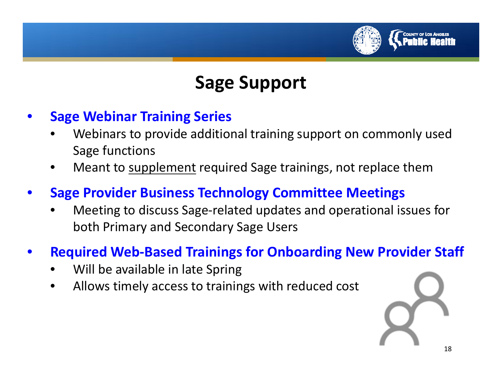

## **Sage Support**

- • **Sage Webinar Training Series**
	- • Webinars to provide additional training support on commonly used Sage functions
	- •• Meant to supplement required Sage trainings, not replace them
- • **Sage Provider Business Technology Committee Meetings**
	- • Meeting to discuss Sage‐related updates and operational issues for both Primary and Secondary Sage Users
- • **Required Web‐Based Trainings for Onboarding New Provider Staff**
	- •Will be available in late Spring
	- •Allows timely access to trainings with reduced cost